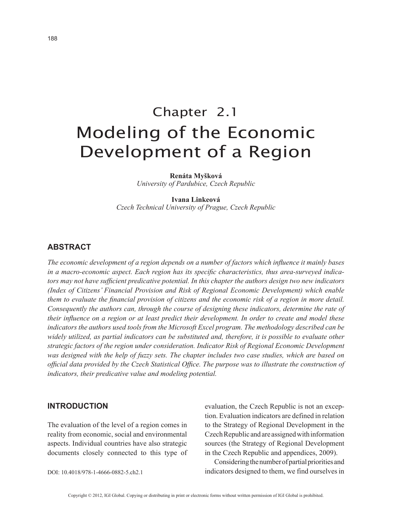# Chapter 2.1 Modeling of the Economic Development of a Region

**Renáta Myšková**

*University of Pardubice, Czech Republic*

**Ivana Linkeová** *Czech Technical University of Prague, Czech Republic*

## **ABSTRACT**

*The economic development of a region depends on a number of factors which influence it mainly bases in a macro-economic aspect. Each region has its specific characteristics, thus area-surveyed indicators may not have sufficient predicative potential. In this chapter the authors design two new indicators (Index of Citizens' Financial Provision and Risk of Regional Economic Development) which enable them to evaluate the financial provision of citizens and the economic risk of a region in more detail. Consequently the authors can, through the course of designing these indicators, determine the rate of their influence on a region or at least predict their development. In order to create and model these indicators the authors used tools from the Microsoft Excel program. The methodology described can be widely utilized, as partial indicators can be substituted and, therefore, it is possible to evaluate other strategic factors of the region under consideration. Indicator Risk of Regional Economic Development was designed with the help of fuzzy sets. The chapter includes two case studies, which are based on official data provided by the Czech Statistical Office. The purpose was to illustrate the construction of indicators, their predicative value and modeling potential.*

#### **INTRODUCTION**

The evaluation of the level of a region comes in reality from economic, social and environmental aspects. Individual countries have also strategic documents closely connected to this type of evaluation, the Czech Republic is not an exception. Evaluation indicators are defined in relation to the Strategy of Regional Development in the Czech Republic and are assigned with information sources (the Strategy of Regional Development in the Czech Republic and appendices, 2009).

Considering the number of partial priorities and indicators designed to them, we find ourselves in

DOI: 10.4018/978-1-4666-0882-5.ch2.1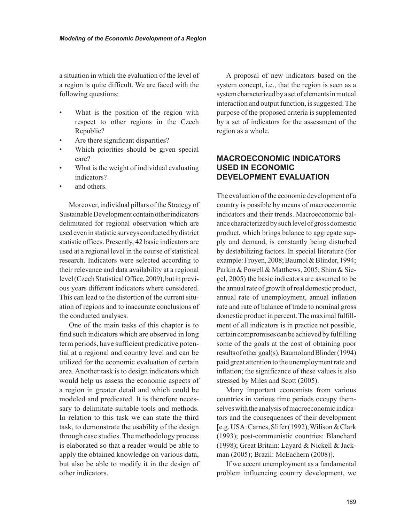a situation in which the evaluation of the level of a region is quite difficult. We are faced with the following questions:

- What is the position of the region with respect to other regions in the Czech Republic?
- Are there significant disparities?
- Which priorities should be given special care?
- What is the weight of individual evaluating indicators?
- and others.

Moreover, individual pillars of the Strategy of Sustainable Development contain other indicators delimitated for regional observation which are used even in statistic surveys conducted by district statistic offices. Presently, 42 basic indicators are used at a regional level in the course of statistical research. Indicators were selected according to their relevance and data availability at a regional level (Czech Statistical Office, 2009), but in previous years different indicators where considered. This can lead to the distortion of the current situation of regions and to inaccurate conclusions of the conducted analyses.

One of the main tasks of this chapter is to find such indicators which are observed in long term periods, have sufficient predicative potential at a regional and country level and can be utilized for the economic evaluation of certain area. Another task is to design indicators which would help us assess the economic aspects of a region in greater detail and which could be modeled and predicated. It is therefore necessary to delimitate suitable tools and methods. In relation to this task we can state the third task, to demonstrate the usability of the design through case studies. The methodology process is elaborated so that a reader would be able to apply the obtained knowledge on various data, but also be able to modify it in the design of other indicators.

A proposal of new indicators based on the system concept, i.e., that the region is seen as a system characterized by a set of elements in mutual interaction and output function, is suggested. The purpose of the proposed criteria is supplemented by a set of indicators for the assessment of the region as a whole.

# **MACROECONOMIC INDICATORS USED IN ECONOMIC DEVELOPMENT EVALUATION**

The evaluation of the economic development of a country is possible by means of macroeconomic indicators and their trends. Macroeconomic balance characterized by such level of gross domestic product, which brings balance to aggregate supply and demand, is constantly being disturbed by destabilizing factors. In special literature (for example: Froyen, 2008; Baumol & Blinder, 1994; Parkin & Powell & Matthews, 2005; Shim & Siegel, 2005) the basic indicators are assumed to be the annual rate of growth of real domestic product, annual rate of unemployment, annual inflation rate and rate of balance of trade to nominal gross domestic product in percent. The maximal fulfillment of all indicators is in practice not possible, certain compromises can be achieved by fulfilling some of the goals at the cost of obtaining poor results of other goal(s). Baumol and Blinder (1994) paid great attention to the unemployment rate and inflation; the significance of these values is also stressed by Miles and Scott (2005).

Many important economists from various countries in various time periods occupy themselves with the analysis of macroeconomic indicators and the consequences of their development [e.g. USA: Carnes, Slifer (1992), Wilison & Clark (1993); post-communistic countries: Blanchard (1998); Great Britain: Layard & Nickell & Jackman (2005); Brazil: McEachern (2008)].

If we accent unemployment as a fundamental problem influencing country development, we